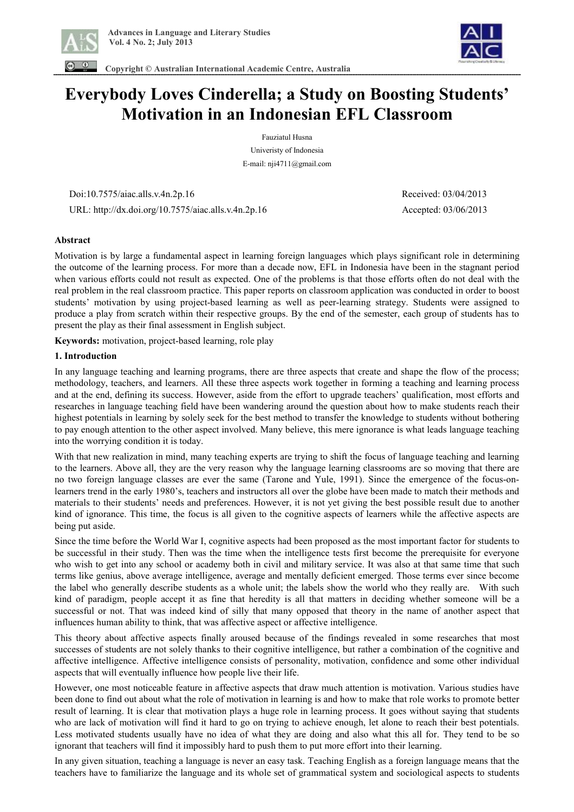

 **Copyright © Australian International Academic Centre, Australia** 



# **Everybody Loves Cinderella; a Study on Boosting Students' Motivation in an Indonesian EFL Classroom**

Fauziatul Husna Univeristy of Indonesia E-mail: nji4711@gmail.com

 Doi:10.7575/aiac.alls.v.4n.2p.16 Received: 03/04/2013 URL: http://dx.doi.org/10.7575/aiac.alls.v.4n.2p.16 Accepted: 03/06/2013

## **Abstract**

Motivation is by large a fundamental aspect in learning foreign languages which plays significant role in determining the outcome of the learning process. For more than a decade now, EFL in Indonesia have been in the stagnant period when various efforts could not result as expected. One of the problems is that those efforts often do not deal with the real problem in the real classroom practice. This paper reports on classroom application was conducted in order to boost students' motivation by using project-based learning as well as peer-learning strategy. Students were assigned to produce a play from scratch within their respective groups. By the end of the semester, each group of students has to present the play as their final assessment in English subject.

**Keywords:** motivation, project-based learning, role play

#### **1. Introduction**

In any language teaching and learning programs, there are three aspects that create and shape the flow of the process; methodology, teachers, and learners. All these three aspects work together in forming a teaching and learning process and at the end, defining its success. However, aside from the effort to upgrade teachers' qualification, most efforts and researches in language teaching field have been wandering around the question about how to make students reach their highest potentials in learning by solely seek for the best method to transfer the knowledge to students without bothering to pay enough attention to the other aspect involved. Many believe, this mere ignorance is what leads language teaching into the worrying condition it is today.

With that new realization in mind, many teaching experts are trying to shift the focus of language teaching and learning to the learners. Above all, they are the very reason why the language learning classrooms are so moving that there are no two foreign language classes are ever the same (Tarone and Yule, 1991). Since the emergence of the focus-onlearners trend in the early 1980's, teachers and instructors all over the globe have been made to match their methods and materials to their students' needs and preferences. However, it is not yet giving the best possible result due to another kind of ignorance. This time, the focus is all given to the cognitive aspects of learners while the affective aspects are being put aside.

Since the time before the World War I, cognitive aspects had been proposed as the most important factor for students to be successful in their study. Then was the time when the intelligence tests first become the prerequisite for everyone who wish to get into any school or academy both in civil and military service. It was also at that same time that such terms like genius, above average intelligence, average and mentally deficient emerged. Those terms ever since become the label who generally describe students as a whole unit; the labels show the world who they really are. With such kind of paradigm, people accept it as fine that heredity is all that matters in deciding whether someone will be a successful or not. That was indeed kind of silly that many opposed that theory in the name of another aspect that influences human ability to think, that was affective aspect or affective intelligence.

This theory about affective aspects finally aroused because of the findings revealed in some researches that most successes of students are not solely thanks to their cognitive intelligence, but rather a combination of the cognitive and affective intelligence. Affective intelligence consists of personality, motivation, confidence and some other individual aspects that will eventually influence how people live their life.

However, one most noticeable feature in affective aspects that draw much attention is motivation. Various studies have been done to find out about what the role of motivation in learning is and how to make that role works to promote better result of learning. It is clear that motivation plays a huge role in learning process. It goes without saying that students who are lack of motivation will find it hard to go on trying to achieve enough, let alone to reach their best potentials. Less motivated students usually have no idea of what they are doing and also what this all for. They tend to be so ignorant that teachers will find it impossibly hard to push them to put more effort into their learning.

In any given situation, teaching a language is never an easy task. Teaching English as a foreign language means that the teachers have to familiarize the language and its whole set of grammatical system and sociological aspects to students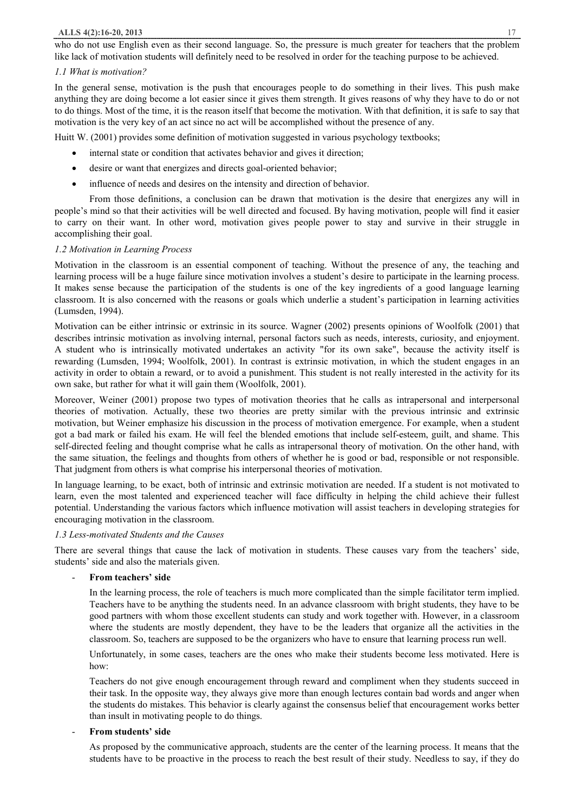#### **ALLS 4(2):16-20, 2013** 17

who do not use English even as their second language. So, the pressure is much greater for teachers that the problem like lack of motivation students will definitely need to be resolved in order for the teaching purpose to be achieved.

#### *1.1 What is motivation?*

In the general sense, motivation is the push that encourages people to do something in their lives. This push make anything they are doing become a lot easier since it gives them strength. It gives reasons of why they have to do or not to do things. Most of the time, it is the reason itself that become the motivation. With that definition, it is safe to say that motivation is the very key of an act since no act will be accomplished without the presence of any.

Huitt W. (2001) provides some definition of motivation suggested in various psychology textbooks;

- internal state or condition that activates behavior and gives it direction;
- · desire or want that energizes and directs goal-oriented behavior;
- influence of needs and desires on the intensity and direction of behavior.

From those definitions, a conclusion can be drawn that motivation is the desire that energizes any will in people's mind so that their activities will be well directed and focused. By having motivation, people will find it easier to carry on their want. In other word, motivation gives people power to stay and survive in their struggle in accomplishing their goal.

## *1.2 Motivation in Learning Process*

Motivation in the classroom is an essential component of teaching. Without the presence of any, the teaching and learning process will be a huge failure since motivation involves a student's desire to participate in the learning process. It makes sense because the participation of the students is one of the key ingredients of a good language learning classroom. It is also concerned with the reasons or goals which underlie a student's participation in learning activities (Lumsden, 1994).

Motivation can be either intrinsic or extrinsic in its source. Wagner (2002) presents opinions of Woolfolk (2001) that describes intrinsic motivation as involving internal, personal factors such as needs, interests, curiosity, and enjoyment. A student who is intrinsically motivated undertakes an activity "for its own sake", because the activity itself is rewarding (Lumsden, 1994; Woolfolk, 2001). In contrast is extrinsic motivation, in which the student engages in an activity in order to obtain a reward, or to avoid a punishment. This student is not really interested in the activity for its own sake, but rather for what it will gain them (Woolfolk, 2001).

Moreover, Weiner (2001) propose two types of motivation theories that he calls as intrapersonal and interpersonal theories of motivation. Actually, these two theories are pretty similar with the previous intrinsic and extrinsic motivation, but Weiner emphasize his discussion in the process of motivation emergence. For example, when a student got a bad mark or failed his exam. He will feel the blended emotions that include self-esteem, guilt, and shame. This self-directed feeling and thought comprise what he calls as intrapersonal theory of motivation. On the other hand, with the same situation, the feelings and thoughts from others of whether he is good or bad, responsible or not responsible. That judgment from others is what comprise his interpersonal theories of motivation.

In language learning, to be exact, both of intrinsic and extrinsic motivation are needed. If a student is not motivated to learn, even the most talented and experienced teacher will face difficulty in helping the child achieve their fullest potential. Understanding the various factors which influence motivation will assist teachers in developing strategies for encouraging motivation in the classroom.

## *1.3 Less-motivated Students and the Causes*

There are several things that cause the lack of motivation in students. These causes vary from the teachers' side, students' side and also the materials given.

## - **From teachers' side**

In the learning process, the role of teachers is much more complicated than the simple facilitator term implied. Teachers have to be anything the students need. In an advance classroom with bright students, they have to be good partners with whom those excellent students can study and work together with. However, in a classroom where the students are mostly dependent, they have to be the leaders that organize all the activities in the classroom. So, teachers are supposed to be the organizers who have to ensure that learning process run well.

Unfortunately, in some cases, teachers are the ones who make their students become less motivated. Here is how:

Teachers do not give enough encouragement through reward and compliment when they students succeed in their task. In the opposite way, they always give more than enough lectures contain bad words and anger when the students do mistakes. This behavior is clearly against the consensus belief that encouragement works better than insult in motivating people to do things.

## - **From students' side**

As proposed by the communicative approach, students are the center of the learning process. It means that the students have to be proactive in the process to reach the best result of their study. Needless to say, if they do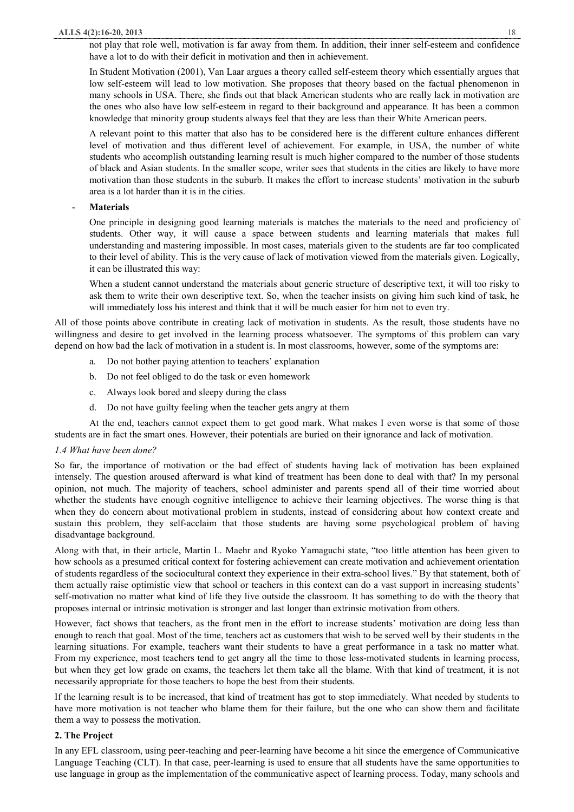not play that role well, motivation is far away from them. In addition, their inner self-esteem and confidence have a lot to do with their deficit in motivation and then in achievement.

In Student Motivation (2001), Van Laar argues a theory called self-esteem theory which essentially argues that low self-esteem will lead to low motivation. She proposes that theory based on the factual phenomenon in many schools in USA. There, she finds out that black American students who are really lack in motivation are the ones who also have low self-esteem in regard to their background and appearance. It has been a common knowledge that minority group students always feel that they are less than their White American peers.

A relevant point to this matter that also has to be considered here is the different culture enhances different level of motivation and thus different level of achievement. For example, in USA, the number of white students who accomplish outstanding learning result is much higher compared to the number of those students of black and Asian students. In the smaller scope, writer sees that students in the cities are likely to have more motivation than those students in the suburb. It makes the effort to increase students' motivation in the suburb area is a lot harder than it is in the cities.

#### - **Materials**

One principle in designing good learning materials is matches the materials to the need and proficiency of students. Other way, it will cause a space between students and learning materials that makes full understanding and mastering impossible. In most cases, materials given to the students are far too complicated to their level of ability. This is the very cause of lack of motivation viewed from the materials given. Logically, it can be illustrated this way:

When a student cannot understand the materials about generic structure of descriptive text, it will too risky to ask them to write their own descriptive text. So, when the teacher insists on giving him such kind of task, he will immediately loss his interest and think that it will be much easier for him not to even try.

All of those points above contribute in creating lack of motivation in students. As the result, those students have no willingness and desire to get involved in the learning process whatsoever. The symptoms of this problem can vary depend on how bad the lack of motivation in a student is. In most classrooms, however, some of the symptoms are:

- a. Do not bother paying attention to teachers' explanation
- b. Do not feel obliged to do the task or even homework
- c. Always look bored and sleepy during the class
- d. Do not have guilty feeling when the teacher gets angry at them

At the end, teachers cannot expect them to get good mark. What makes I even worse is that some of those students are in fact the smart ones. However, their potentials are buried on their ignorance and lack of motivation.

#### *1.4 What have been done?*

So far, the importance of motivation or the bad effect of students having lack of motivation has been explained intensely. The question aroused afterward is what kind of treatment has been done to deal with that? In my personal opinion, not much. The majority of teachers, school administer and parents spend all of their time worried about whether the students have enough cognitive intelligence to achieve their learning objectives. The worse thing is that when they do concern about motivational problem in students, instead of considering about how context create and sustain this problem, they self-acclaim that those students are having some psychological problem of having disadvantage background.

Along with that, in their article, Martin L. Maehr and Ryoko Yamaguchi state, "too little attention has been given to how schools as a presumed critical context for fostering achievement can create motivation and achievement orientation of students regardless of the sociocultural context they experience in their extra-school lives." By that statement, both of them actually raise optimistic view that school or teachers in this context can do a vast support in increasing students' self-motivation no matter what kind of life they live outside the classroom. It has something to do with the theory that proposes internal or intrinsic motivation is stronger and last longer than extrinsic motivation from others.

However, fact shows that teachers, as the front men in the effort to increase students' motivation are doing less than enough to reach that goal. Most of the time, teachers act as customers that wish to be served well by their students in the learning situations. For example, teachers want their students to have a great performance in a task no matter what. From my experience, most teachers tend to get angry all the time to those less-motivated students in learning process, but when they get low grade on exams, the teachers let them take all the blame. With that kind of treatment, it is not necessarily appropriate for those teachers to hope the best from their students.

If the learning result is to be increased, that kind of treatment has got to stop immediately. What needed by students to have more motivation is not teacher who blame them for their failure, but the one who can show them and facilitate them a way to possess the motivation.

#### **2. The Project**

In any EFL classroom, using peer-teaching and peer-learning have become a hit since the emergence of Communicative Language Teaching (CLT). In that case, peer-learning is used to ensure that all students have the same opportunities to use language in group as the implementation of the communicative aspect of learning process. Today, many schools and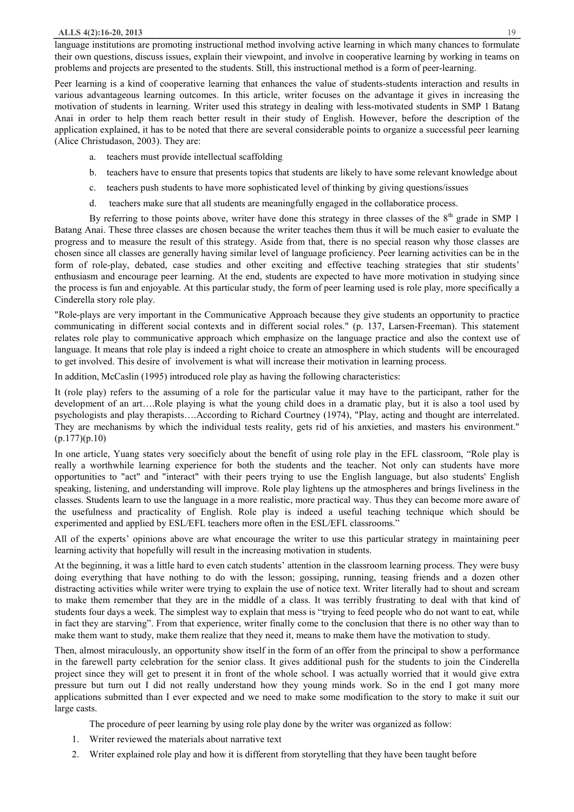language institutions are promoting instructional method involving active learning in which many chances to formulate their own questions, discuss issues, explain their viewpoint, and involve in cooperative learning by working in teams on problems and projects are presented to the students. Still, this instructional method is a form of peer-learning.

Peer learning is a kind of cooperative learning that enhances the value of students-students interaction and results in various advantageous learning outcomes. In this article, writer focuses on the advantage it gives in increasing the motivation of students in learning. Writer used this strategy in dealing with less-motivated students in SMP 1 Batang Anai in order to help them reach better result in their study of English. However, before the description of the application explained, it has to be noted that there are several considerable points to organize a successful peer learning (Alice Christudason, 2003). They are:

- a. teachers must provide intellectual scaffolding
- b. teachers have to ensure that presents topics that students are likely to have some relevant knowledge about
- c. teachers push students to have more sophisticated level of thinking by giving questions/issues
- d. teachers make sure that all students are meaningfully engaged in the collaboratice process.

By referring to those points above, writer have done this strategy in three classes of the  $8<sup>th</sup>$  grade in SMP 1 Batang Anai. These three classes are chosen because the writer teaches them thus it will be much easier to evaluate the progress and to measure the result of this strategy. Aside from that, there is no special reason why those classes are chosen since all classes are generally having similar level of language proficiency. Peer learning activities can be in the form of role-play, debated, case studies and other exciting and effective teaching strategies that stir students' enthusiasm and encourage peer learning. At the end, students are expected to have more motivation in studying since the process is fun and enjoyable. At this particular study, the form of peer learning used is role play, more specifically a Cinderella story role play.

"Role-plays are very important in the Communicative Approach because they give students an opportunity to practice communicating in different social contexts and in different social roles." (p. 137, Larsen-Freeman). This statement relates role play to communicative approach which emphasize on the language practice and also the context use of language. It means that role play is indeed a right choice to create an atmosphere in which students will be encouraged to get involved. This desire of involvement is what will increase their motivation in learning process.

In addition, McCaslin (1995) introduced role play as having the following characteristics:

It (role play) refers to the assuming of a role for the particular value it may have to the participant, rather for the development of an art….Role playing is what the young child does in a dramatic play, but it is also a tool used by psychologists and play therapists….According to Richard Courtney (1974), "Play, acting and thought are interrelated. They are mechanisms by which the individual tests reality, gets rid of his anxieties, and masters his environment."  $(p.177)(p.10)$ 

In one article, Yuang states very soecificly about the benefit of using role play in the EFL classroom, "Role play is really a worthwhile learning experience for both the students and the teacher. Not only can students have more opportunities to "act" and "interact" with their peers trying to use the English language, but also students' English speaking, listening, and understanding will improve. Role play lightens up the atmospheres and brings liveliness in the classes. Students learn to use the language in a more realistic, more practical way. Thus they can become more aware of the usefulness and practicality of English. Role play is indeed a useful teaching technique which should be experimented and applied by ESL/EFL teachers more often in the ESL/EFL classrooms."

All of the experts' opinions above are what encourage the writer to use this particular strategy in maintaining peer learning activity that hopefully will result in the increasing motivation in students.

At the beginning, it was a little hard to even catch students' attention in the classroom learning process. They were busy doing everything that have nothing to do with the lesson; gossiping, running, teasing friends and a dozen other distracting activities while writer were trying to explain the use of notice text. Writer literally had to shout and scream to make them remember that they are in the middle of a class. It was terribly frustrating to deal with that kind of students four days a week. The simplest way to explain that mess is "trying to feed people who do not want to eat, while in fact they are starving". From that experience, writer finally come to the conclusion that there is no other way than to make them want to study, make them realize that they need it, means to make them have the motivation to study.

Then, almost miraculously, an opportunity show itself in the form of an offer from the principal to show a performance in the farewell party celebration for the senior class. It gives additional push for the students to join the Cinderella project since they will get to present it in front of the whole school. I was actually worried that it would give extra pressure but turn out I did not really understand how they young minds work. So in the end I got many more applications submitted than I ever expected and we need to make some modification to the story to make it suit our large casts.

The procedure of peer learning by using role play done by the writer was organized as follow:

- 1. Writer reviewed the materials about narrative text
- 2. Writer explained role play and how it is different from storytelling that they have been taught before